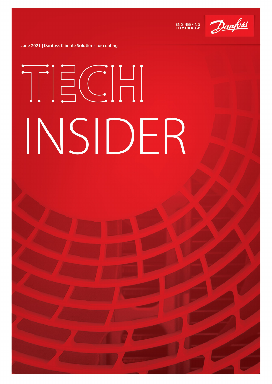

**ENGINEERING**<br>TOMORROW

June 2021 | Danfoss Climate Solutions for cooling

# TECH INSIDER

Classified as Business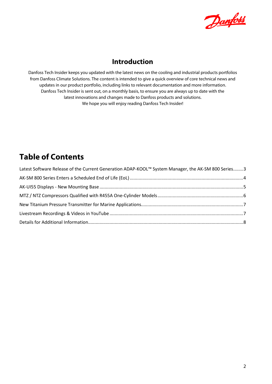

## **Introduction**

Danfoss Tech Insider keeps you updated with the latest news on the cooling and industrial products portfolios from Danfoss Climate Solutions. The content is intended to give a quick overview of core technical news and updates in our product portfolio, including links to relevant documentation and more information. Danfoss Tech Insider is sent out, on a monthly basis, to ensure you are always up to date with the latest innovations and changes made to Danfoss products and solutions. We hope you will enjoy reading Danfoss Tech Insider!

# **Table of Contents**

| Latest Software Release of the Current Generation ADAP-KOOL™ System Manager, the AK-SM 800 Series3 |  |
|----------------------------------------------------------------------------------------------------|--|
|                                                                                                    |  |
|                                                                                                    |  |
|                                                                                                    |  |
|                                                                                                    |  |
|                                                                                                    |  |
|                                                                                                    |  |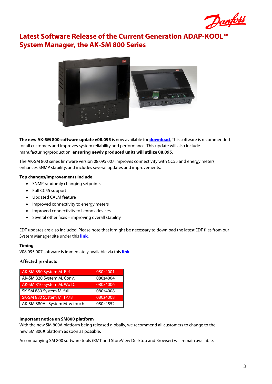

## <span id="page-2-0"></span>**Latest Software Release of the Current Generation ADAP-KOOL™ System Manager, the AK-SM 800 Series**



**The new AK-SM 800 software update v08.095** is now available for **[download](http://www.sm800.danfoss.com/)**. This software is recommended for all customers and improves system reliability and performance. This update will also include manufacturing/production, **ensuring newly produced units will utilize 08.095.**

The AK-SM 800 series firmware version 08.095.007 improves connectivity with CC55 and energy meters, enhances SNMP stability, and includes several updates and improvements.

## **Top changes/improvements include**

- SNMP randomly changing setpoints
- Full CC55 support
- Updated CALM feature
- Improved connectivity to energy meters
- Improved connectivity to Lennox devices
- Several other fixes improving overall stability

EDF updates are also included. Please note that it might be necessary to download the latest EDF files from our System Manager site under this **[link](https://www.danfoss.com/en/service-and-support/downloads/dcs/adap-kool-software/ak-sm-800/#tab-downloads)**.

## **Timing**

V08.095.007 software is immediately available via this **[link](http://sm800.danfoss.com/)**.

## **Affected products**

| AK-SM 850 System M. Ref.      | 080z4001 |
|-------------------------------|----------|
| AK-SM 820 System M. Conv.     | 080z4004 |
| AK-SM 810 System M. Wo D.     | 080z4006 |
| SK-SM 880 System M. full      | 080z4008 |
| SK-SM 880 System M. TP78      | 080z4008 |
| AK-SM 880AL System M. w touch | 080z4552 |

## **Important notice on SM800 platform**

With the new SM 800A platform being released globally, we recommend all customers to change to the new SM 800**A** platform as soon as possible.

Accompanying SM 800 software tools (RMT and StoreView Desktop and Browser) will remain available.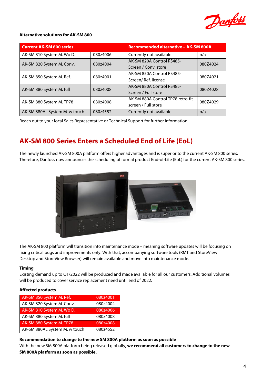

## **Alternative solutions for AK-SM 800**

| <b>Current AK-SM 800 series</b> |          | Recommended alternative - AK-SM 800A |          |  |  |  |
|---------------------------------|----------|--------------------------------------|----------|--|--|--|
| AK-SM 810 System M. Wo D.       | 080z4006 | Currently not available              | n/a      |  |  |  |
| AK-SM 820 System M. Conv.       | 080z4004 | AK-SM 820A Control RS485-            | 080Z4024 |  |  |  |
|                                 |          | Screen / Conv. store                 |          |  |  |  |
| AK-SM 850 System M. Ref.        | 080z4001 | AK-SM 850A Control RS485-            | 080Z4021 |  |  |  |
|                                 |          | Screen/Ref. license                  |          |  |  |  |
| AK-SM 880 System M. full        | 080z4008 | AK-SM 880A Control RS485-            | 080Z4028 |  |  |  |
|                                 |          | Screen / Full store                  |          |  |  |  |
| AK-SM 880 System M. TP78        | 080z4008 | AK-SM 880A Control TP78 retro-fit    | 080Z4029 |  |  |  |
|                                 |          | screen / Full store                  |          |  |  |  |
| AK-SM 880AL System M. w touch   | 080z4552 | Currently not available              | n/a      |  |  |  |

Reach out to your local Sales Representative or Technical Support for further information.

# <span id="page-3-0"></span>**AK-SM 800 Series Enters a Scheduled End of Life (EoL)**

The newly launched AK-SM 800A platform offers higher advantages and is superior to the current AK-SM 800 series. Therefore, Danfoss now announces the scheduling of formal product End-of-Life (EoL) for the current AK-SM 800 series.



The AK-SM 800 platform will transition into maintenance mode – meaning software updates will be focusing on fixing critical bugs and improvements only. With that, accompanying software tools (RMT and StoreView Desktop and StoreView Browser) will remain available and move into maintenance mode.

#### **Timing**

Existing demand up to Q1/2022 will be produced and made available for all our customers. Additional volumes will be produced to cover service replacement need until end of 2022.

#### **Affected products**

| AK-SM 850 System M. Ref.      | 080z4001 |
|-------------------------------|----------|
| AK-SM 820 System M. Conv.     | 080z4004 |
| AK-SM 810 System M. Wo D.     | 080z4006 |
| AK-SM 880 System M. full      | 080z4008 |
| AK-SM 880 System M. TP78      | 080z4008 |
| AK-SM 880AL System M. w touch | 080z4552 |

**Recommendation to change to the new SM 800A platform as soon as possible**

With the new SM 800A platform being released globally, **we recommend all customers to change to the new SM 800A platform as soon as possible.**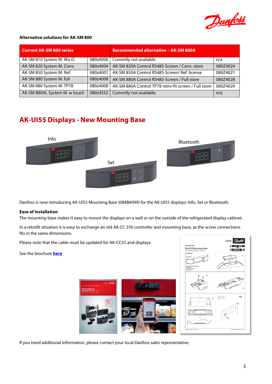

## **Alternative solutions for AK-SM 800**

| <b>Current AK-SM 800 series</b> |          | <b>Recommended alternative - AK-SM 800A</b>           |          |  |  |  |  |
|---------------------------------|----------|-------------------------------------------------------|----------|--|--|--|--|
| AK-SM 810 System M. Wo D.       | 080z4006 | Currently not available                               | n/a      |  |  |  |  |
| AK-SM 820 System M. Conv.       | 080z4004 | AK-SM 820A Control RS485-Screen / Conv. store         | 080Z4024 |  |  |  |  |
| AK-SM 850 System M. Ref.        | 080z4001 | AK-SM 850A Control RS485-Screen/ Ref. license         | 080Z4021 |  |  |  |  |
| AK-SM 880 System M. full        | 080z4008 | AK-SM 880A Control RS485-Screen / Full store          | 080Z4028 |  |  |  |  |
| AK-SM 880 System M. TP78        | 080z4008 | AK-SM 880A Control TP78 retro-fit screen / Full store | 080Z4029 |  |  |  |  |
| AK-SM 880AL System M. w touch   | 080z4552 | Currently not available                               | n/a      |  |  |  |  |

# <span id="page-4-0"></span>**AK-UI55 Displays - New Mounting Base**



Danfoss is now introducing AK-UI55 Mounting Base (084B4099) for the AK-UI55 displays: Info, Set or Bluetooth.

## **Ease of installation**

The mounting base makes it easy to mount the displays on a wall or on the outside of the refrigerated display cabinet.

In a retrofit situation it is easy to exchange an old AK-CC 550 controller and mounting base, as the screw connections fits in the same dimensions.

Please note that the cable must be updated for AK-CC55 and displays.

See the brochure **[here](https://assets.danfoss.com/documents/183068/AD168486422742en-000203.pdf?_ga=2.207036564.668009985.1622402708-427003127.1602058798)**





If you need additional information, please contact your local Danfoss sales representative.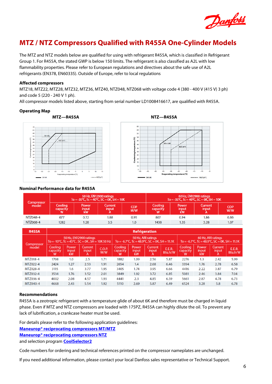

## <span id="page-5-0"></span>**MTZ / NTZ Compressors Qualified with R455A One-Cylinder Models**

The MTZ and NTZ models below are qualified for using with refrigerant R455A, which is classified in Refrigerant Group 1. For R455A, the stated GWP is below 150 limits. The refrigerant is also classified as A2L with low flammability properties. Please refer to European regulations and directives about the safe use of A2L refrigerants (EN378, EN60335). Outside of Europe, refer to local regulations

#### **Affected compressors**

MTZ18, MTZ22, MTZ28, MTZ32, MTZ36, MTZ40, NTZ048, NTZ068 with voltage code 4 (380 - 400 V (415 V) 3 ph) and code 5 (220 - 240 V 1 ph).

All compressor models listed above, starting from serial number LD1008416617, are qualified with R455A.

#### **Operating Map**





## **Nominal Performance data for R455A**

| Compressor<br>model |                      | $To = -35^{\circ}C$ , $Tc = 40^{\circ}C$ , $SC = OK$ , $SH = 10K$ | 50 Hz, EN12900 ratings |                   | 60 Hz, EN12900 ratings<br>To = $-35^{\circ}$ C, Tc = 40 $^{\circ}$ C, SC = 0K, SH = 10K |                             |                       |                   |
|---------------------|----------------------|-------------------------------------------------------------------|------------------------|-------------------|-----------------------------------------------------------------------------------------|-----------------------------|-----------------------|-------------------|
|                     | Cooling,<br>capacity | <b>Power</b><br>input<br>kW                                       | Current<br>input       | <b>COP</b><br>W/W | Coolina<br>capacity                                                                     | Power<br>input<br><b>kW</b> | Current<br>input<br>А | <b>COP</b><br>W/W |
| NTZ048-4            | 677                  | 0.72                                                              | 1.88                   | 0.95              | 807                                                                                     | 0.94                        | 1.86                  | 0.86              |
| NTZ068-4            | 1282                 | 1.28                                                              | 3.5                    | 1.0               | 1438                                                                                    | 1.35                        | 3.28                  | 1.07              |

| <b>R455A</b>        | <b>Refrigeration</b>                                                     |                      |                              |               |                                                                       |                             |                        |                          |                                                                       |                      |                        |                   |
|---------------------|--------------------------------------------------------------------------|----------------------|------------------------------|---------------|-----------------------------------------------------------------------|-----------------------------|------------------------|--------------------------|-----------------------------------------------------------------------|----------------------|------------------------|-------------------|
| Compressor<br>model | 50 Hz, EN12900 ratings<br>To = -10°C, Tc = 45°C, SC = 0K, SH = 10K 50 Hz |                      |                              |               | 50 Hz, ARI ratings<br>To = -6.7 °C, Tc = 48.9 °C, SC = 0K, SH = 11.1K |                             |                        |                          | 60 Hz, ARI ratings<br>To = -6.7 °C, Tc = 48.9 °C, SC = 0K, SH = 11.1K |                      |                        |                   |
|                     | Coolina<br>capacity<br>w                                                 | Power<br>input<br>kW | <b>Current</b><br>input<br>A | C.O.P.<br>w/w | Coolina<br><b>capacity</b><br>w                                       | <b>Power</b><br>input<br>kW | Current.<br>input<br>A | <b>E.E.R.</b><br>Btu.h/W | <b>Cooling</b><br>capacity<br>w                                       | Power<br>input<br>kW | Current.<br>input<br>A | E.E.R.<br>Btu.h/W |
| MTZ018-4            | 1708                                                                     | 1.0                  | 2.5                          | 1.71          | 1882                                                                  | 1.09                        | 2.56                   | 5.87                     | 2276                                                                  | 1.3                  | 2.42                   | 5.99              |
| MTZ022-4            | 2424                                                                     | 1.27                 | 2.53                         | 1.91          | 2654                                                                  | 1.4                         | 2.68                   | 6.46                     | 3394                                                                  | 1.76                 | 2.78                   | 6.58              |
| MTZ028-4            | 3115                                                                     | 1.6                  | 3.77                         | 1.95          | 3405                                                                  | 1.74                        | 3.95                   | 6.66                     | 4416                                                                  | 2.22                 | 3.87                   | 6.79              |
| MTZ032-4            | 3534                                                                     | 1.76                 | 3.52                         | 2.01          | 3849                                                                  | 1.92                        | 3.72                   | 6.85                     | 5081                                                                  | 2.46                 | 3.84                   | 7.04              |
| MTZ036-4            | 4002                                                                     | 2.08                 | 4.57                         | 1.93          | 4441                                                                  | 2.3                         | 4.85                   | 6.59                     | 5661                                                                  | 2.87                 | 4.78                   | 6.73              |
| MTZ040-4            | 4668                                                                     | 2.43                 | 5.54                         | 1.92          | 5110                                                                  | 2.69                        | 5.87                   | 6.49                     | 6524                                                                  | 3.28                 | 5.8                    | 6.78              |

#### **Recommendations**

R455A is a zeotropic refrigerant with a temperature glide of about 6K and therefore must be charged in liquid phase. Even if MTZ and NTZ compressors are loaded with 175PZ, R455A can highly dilute the oil. To prevent any lack of lubrification, a crankcase heater must be used.

For details please refer to the following application guidelines:

**[Maneurop® reciprocating compressors MT/MTZ](https://assets.danfoss.com/documents/184227/AB196386425654en-021502.pdf?_ga=2.99336728.742106935.1623230890-385300317.1530872115)**

**[Maneurop® reciprocating compressors NTZ](https://assets.danfoss.com/documents/183610/AB245486497018en-000601.pdf?_ga=2.227749659.742106935.1623230890-385300317.1530872115)**

and selection program **[CoolSelector2](https://www.danfoss.com/en/service-and-support/downloads/dcs/coolselector-2/coolselector-eula/)**

Code numbers for ordering and technical references printed on the compressor nameplates are unchanged.

If you need additional information, please contact your local Danfoss sales representative or Technical Support.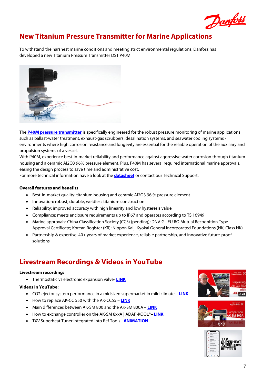

# <span id="page-6-0"></span>**New Titanium Pressure Transmitter for Marine Applications**

To withstand the harshest marine conditions and meeting strict environmental regulations, Danfoss has developed a new Titanium Pressure Transmitter DST P40M



The **[P40M pressure transmitter](https://www.danfoss.com/en/about-danfoss/news/dcs/danfoss-unveils-dst-p40m-pressure-transmitter/)** is specifically engineered for the robust pressure monitoring of marine applications such as ballast-water treatment, exhaust-gas scrubbers, desalination systems, and seawater cooling systems environments where high corrosion resistance and longevity are essential for the reliable operation of the auxiliary and propulsion systems of a vessel.

With P40M, experience best-in-market reliability and performance against aggressive water corrosion through titanium housing and a ceramic AI2O3 96% pressure element. Plus, P40M has several required international marine approvals, easing the design process to save time and administrative cost.

For more technical information have a look at the **[datasheet](https://assets.danfoss.com/documents/184626/AI366043639180en-000402.pdf?_ga=2.130894543.1146245878.1623682049-599904099.1591944557)** or contact our Technical Support.

## **Overall features and benefits**

- Best-in-market quality: titanium housing and ceramic AI2O3 96 % pressure element
- Innovation: robust, durable, weldless titanium construction
- Reliability: improved accuracy with high linearity and low hysteresis value
- Compliance: meets enclosure requirements up to IP67 and operates according to TS 16949
- Marine approvals: China Classification Society (CCS) (pending); DNV-GL EU RO Mutual Recognition Type Approval Certificate; Korean Register (KR); Nippon Kaiji Kyokai General Incorporated Foundations (NK, Class NK)
- Partnership & expertise: 40+ years of market experience, reliable partnership, and innovative future-proof solutions

## <span id="page-6-1"></span>**Livestream Recordings & Videos in YouTube**

#### **Livestream recording:**

• Thermostatic vs electronic expansion valve- **[LINK](https://youtu.be/nB4n9uWf0qA?t=52)**

## **Videos in YouTube:**

- CO2 ejector system performance in a midsized supermarket in mild climate **[LINK](https://youtu.be/QMIGx4lqdRA?t=1)**
- How to replace AK-CC 550 with the AK-CC55 **[LINK](https://youtu.be/5GL--nxgM_8)**
- Main differences between AK-SM 800 and the AK-SM 800A **[LINK](https://youtu.be/itNQGUNxbX0)**
- How to exchange controller on the AK-SM 8xxA | ADAP-KOOL®– **[LINK](https://youtu.be/VeUdjWo3gn4)**
- TXV Superheat Tuner integrated into Ref Tools **[ANIMATION](https://www.youtube.com/watch?v=UCxF7B9FJxU)**